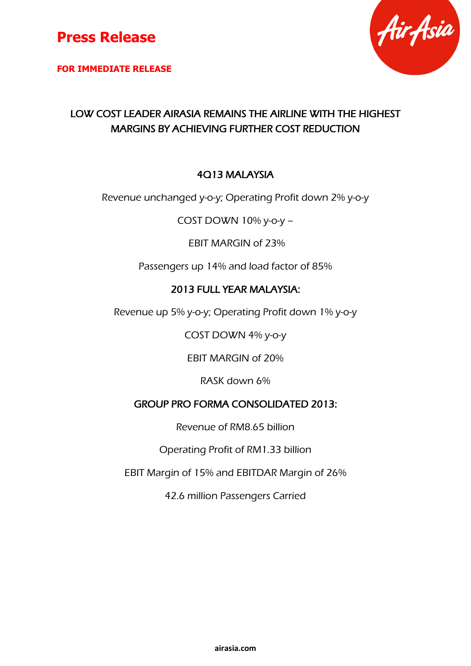

**FOR IMMEDIATE RELEASE**



## LOW COST LEADER AIRASIA REMAINS THE AIRLINE WITH THE HIGHEST MARGINS BY ACHIEVING FURTHER COST REDUCTION

### 4Q13 MALAYSIA

Revenue unchanged y-o-y; Operating Profit down 2% y-o-y

COST DOWN 10% y-o-y –

EBIT MARGIN of 23%

Passengers up 14% and load factor of 85%

### 2013 FULL YEAR MALAYSIA:

Revenue up 5% y-o-y; Operating Profit down 1% y-o-y

COST DOWN 4% y-o-y

EBIT MARGIN of 20%

RASK down 6%

### GROUP PRO FORMA CONSOLIDATED 2013:

Revenue of RM8.65 billion

Operating Profit of RM1.33 billion

EBIT Margin of 15% and EBITDAR Margin of 26%

42.6 million Passengers Carried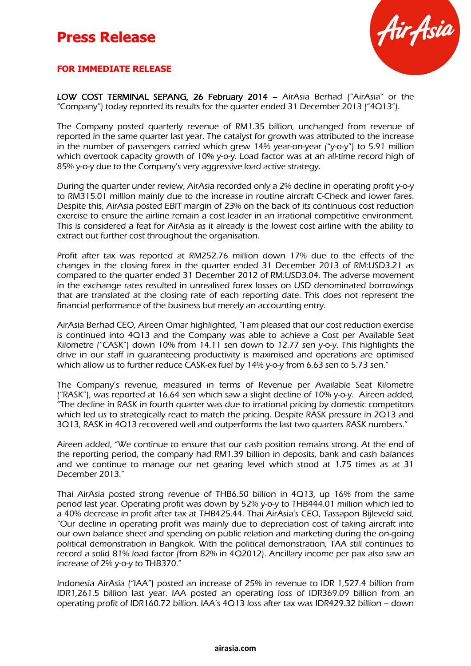

#### **FOR IMMEDIATE RELEASE**

LOW COST TERMINAL SEPANG, 26 February 2014 – AirAsia Berhad ("AirAsia" or the "Company") today reported its results for the quarter ended 31 December 2013 ("4 $Q13$ ").

The Company posted quarterly revenue of RM1.35 billion, unchanged from revenue of reported in the same quarter last year. The catalyst for growth was attributed to the increase in the number of passengers carried which grew 14% year-on-year ("y-o-y") to 5.91 million which overtook capacity growth of 10% y-o-y. Load factor was at an all-time record high of 85% y-o-y due to the Company's very aggressive load active strategy.

During the quarter under review, AirAsia recorded only a 2% decline in operating profit y-o-y to RM315.01 million mainly due to the increase in routine aircraft C-Check and lower fares. Despite this, AirAsia posted EBIT margin of 23% on the back of its continuous cost reduction exercise to ensure the airline remain a cost leader in an irrational competitive environment. This is considered a feat for AirAsia as it already is the lowest cost airline with the ability to extract out further cost throughout the organisation.

Profit after tax was reported at RM252.76 million down 17% due to the effects of the changes in the closing forex in the quarter ended 31 December 2013 of RM:USD3.21 as compared to the quarter ended 31 December 2012 of RM:USD3.04. The adverse movement in the exchange rates resulted in unrealised forex losses on USD denominated borrowings that are translated at the closing rate of each reporting date. This does not represent the financial performance of the business but merely an accounting entry.

AirAsia Berhad CEO, Aireen Omar highlighted, "I am pleased that our cost reduction exercise is continued into 4Q13 and the Company was able to achieve a Cost per Available Seat Kilometre ("CASK") down 10% from 14.11 sen down to 12.77 sen y-o-y. This highlights the drive in our staff in guaranteeing productivity is maximised and operations are optimised which allow us to further reduce CASK-ex fuel by 14% y-o-y from 6.63 sen to 5.73 sen."

The Company's revenue, measured in terms of Revenue per Available Seat Kilometre ("RASK"), was reported at 16.64 sen which saw a slight decline of 10% y-o-y. Aireen added, "The decline in RASK in fourth quarter was due to irrational pricing by domestic competitors which led us to strategically react to match the pricing. Despite RASK pressure in 2Q13 and 3Q13, RASK in 4Q13 recovered well and outperforms the last two quarters RASK numbers."

Aireen added, "We continue to ensure that our cash position remains strong. At the end of the reporting period, the company had RM1.39 billion in deposits, bank and cash balances and we continue to manage our net gearing level which stood at 1.75 times as at 31 December 2013."

Thai AirAsia posted strong revenue of THB6.50 billion in 4Q13, up 16% from the same period last year. Operating profit was down by 52% y-o-y to THB444.01 million which led to a 40% decrease in profit after tax at THB425.44. Thai AirAsia's CEO, Tassapon Bijleveld said, "Our decline in operating profit was mainly due to depreciation cost of taking aircraft into our own balance sheet and spending on public relation and marketing during the on-going political demonstration in Bangkok. With the political demonstration, TAA still continues to record a solid 81% load factor (from 82% in 4Q2012). Ancillary income per pax also saw an increase of 2% y-o-y to THB370."

Indonesia AirAsia ("IAA") posted an increase of 25% in revenue to IDR 1,527.4 billion from IDR1,261.5 billion last year. IAA posted an operating loss of IDR369.09 billion from an operating profit of IDR160.72 billion. IAA's 4Q13 loss after tax was IDR429.32 billion – down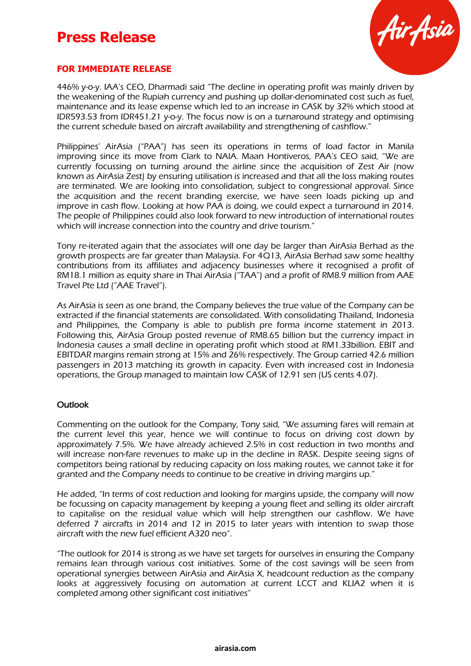

#### **FOR IMMEDIATE RELEASE**

446% y-o-y. IAA's CEO, Dharmadi said "The decline in operating profit was mainly driven by the weakening of the Rupiah currency and pushing up dollar-denominated cost such as fuel, maintenance and its lease expense which led to an increase in CASK by 32% which stood at IDR593.53 from IDR451.21 y-o-y. The focus now is on a turnaround strategy and optimising the current schedule based on aircraft availability and strengthening of cashflow."

Philippines' AirAsia ("PAA") has seen its operations in terms of load factor in Manila improving since its move from Clark to NAIA. Maan Hontiveros, PAA's CEO said, "We are currently focussing on turning around the airline since the acquisition of Zest Air (now known as AirAsia Zest) by ensuring utilisation is increased and that all the loss making routes are terminated. We are looking into consolidation, subject to congressional approval. Since the acquisition and the recent branding exercise, we have seen loads picking up and improve in cash flow. Looking at how PAA is doing, we could expect a turnaround in 2014. The people of Philippines could also look forward to new introduction of international routes which will increase connection into the country and drive tourism."

Tony re-iterated again that the associates will one day be larger than AirAsia Berhad as the growth prospects are far greater than Malaysia. For 4Q13, AirAsia Berhad saw some healthy contributions from its affiliates and adjacency businesses where it recognised a profit of RM18.1 million as equity share in Thai AirAsia ("TAA") and a profit of RM8.9 million from AAE Travel Pte Ltd ("AAE Travel").

As AirAsia is seen as one brand, the Company believes the true value of the Company can be extracted if the financial statements are consolidated. With consolidating Thailand, Indonesia and Philippines, the Company is able to publish pre forma income statement in 2013. Following this, AirAsia Group posted revenue of RM8.65 billion but the currency impact in Indonesia causes a small decline in operating profit which stood at RM1.33billion. EBIT and EBITDAR margins remain strong at 15% and 26% respectively. The Group carried 42.6 million passengers in 2013 matching its growth in capacity. Even with increased cost in Indonesia operations, the Group managed to maintain low CASK of 12.91 sen (US cents 4.07).

#### **Outlook**

Commenting on the outlook for the Company, Tony said, "We assuming fares will remain at the current level this year, hence we will continue to focus on driving cost down by approximately 7.5%. We have already achieved 2.5% in cost reduction in two months and will increase non-fare revenues to make up in the decline in RASK. Despite seeing signs of competitors being rational by reducing capacity on loss making routes, we cannot take it for granted and the Company needs to continue to be creative in driving margins up."

He added, "In terms of cost reduction and looking for margins upside, the company will now be focussing on capacity management by keeping a young fleet and selling its older aircraft to capitalise on the residual value which will help strengthen our cashflow. We have deferred 7 aircrafts in 2014 and 12 in 2015 to later years with intention to swap those aircraft with the new fuel efficient A320 neo".

"The outlook for 2014 is strong as we have set targets for ourselves in ensuring the Company remains lean through various cost initiatives. Some of the cost savings will be seen from operational synergies between AirAsia and AirAsia X, headcount reduction as the company looks at aggressively focusing on automation at current LCCT and KLIA2 when it is completed among other significant cost initiatives"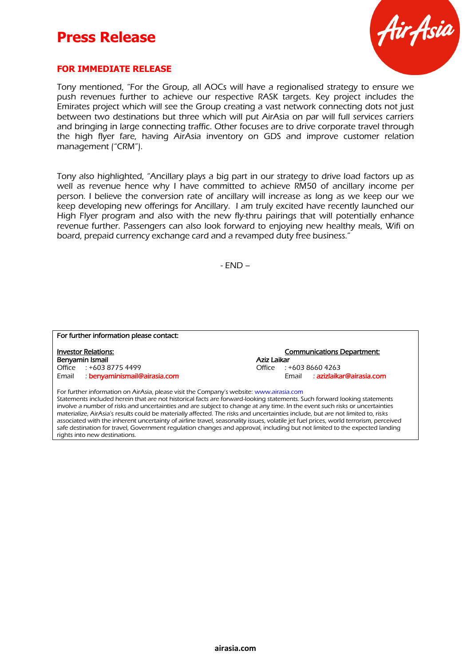

#### **FOR IMMEDIATE RELEASE**

Tony mentioned, "For the Group, all AOCs will have a regionalised strategy to ensure we push revenues further to achieve our respective RASK targets. Key project includes the Emirates project which will see the Group creating a vast network connecting dots not just between two destinations but three which will put AirAsia on par will full services carriers and bringing in large connecting traffic. Other focuses are to drive corporate travel through the high flyer fare, having AirAsia inventory on GDS and improve customer relation management ("CRM").

Tony also highlighted, "Ancillary plays a big part in our strategy to drive load factors up as well as revenue hence why I have committed to achieve RM50 of ancillary income per person. I believe the conversion rate of ancillary will increase as long as we keep our we keep developing new offerings for Ancillary. I am truly excited have recently launched our High Flyer program and also with the new fly-thru pairings that will potentially enhance revenue further. Passengers can also look forward to enjoying new healthy meals, Wifi on board, prepaid currency exchange card and a revamped duty free business."

- END –

| For further information please contact: |                                   |
|-----------------------------------------|-----------------------------------|
| <b>Investor Relations:</b>              | <b>Communications Department:</b> |
| Benyamin Ismail                         | Aziz Laikar                       |
| Office $: +60387754499$                 | Office : +603 8660 4263           |
| benyaminismail@airasia.com<br>Email     | Email : azizlaikar@airasia.com    |

Statements included herein that are not historical facts are forward-looking statements. Such forward looking statements involve a number of risks and uncertainties and are subject to change at any time. In the event such risks or uncertainties materialize, AirAsia's results could be materially affected. The risks and uncertainties include, but are not limited to, risks associated with the inherent uncertainty of airline travel, seasonality issues, volatile jet fuel prices, world terrorism, perceived safe destination for travel, Government regulation changes and approval, including but not limited to the expected landing rights into new destinations.